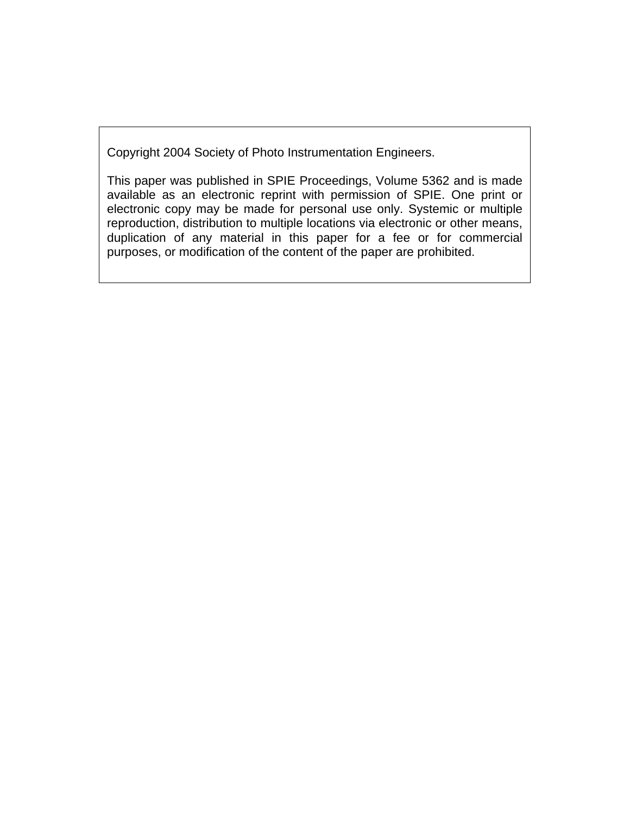Copyright 2004 Society of Photo Instrumentation Engineers.

This paper was published in SPIE Proceedings, Volume 5362 and is made available as an electronic reprint with permission of SPIE. One print or electronic copy may be made for personal use only. Systemic or multiple reproduction, distribution to multiple locations via electronic or other means, duplication of any material in this paper for a fee or for commercial purposes, or modification of the content of the paper are prohibited.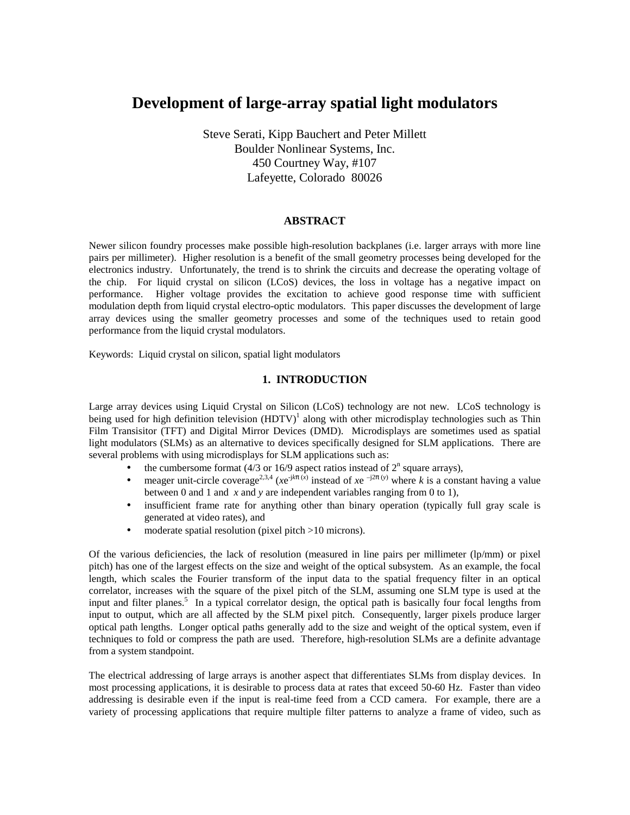# **Development of large-array spatial light modulators**

Steve Serati, Kipp Bauchert and Peter Millett Boulder Nonlinear Systems, Inc. 450 Courtney Way, #107 Lafeyette, Colorado 80026

## **ABSTRACT**

Newer silicon foundry processes make possible high-resolution backplanes (i.e. larger arrays with more line pairs per millimeter). Higher resolution is a benefit of the small geometry processes being developed for the electronics industry. Unfortunately, the trend is to shrink the circuits and decrease the operating voltage of the chip. For liquid crystal on silicon (LCoS) devices, the loss in voltage has a negative impact on performance. Higher voltage provides the excitation to achieve good response time with sufficient modulation depth from liquid crystal electro-optic modulators. This paper discusses the development of large array devices using the smaller geometry processes and some of the techniques used to retain good performance from the liquid crystal modulators.

Keywords: Liquid crystal on silicon, spatial light modulators

#### **1. INTRODUCTION**

Large array devices using Liquid Crystal on Silicon (LCoS) technology are not new. LCoS technology is being used for high definition television  $(HDTV)^{1}$  along with other microdisplay technologies such as Thin Film Transisitor (TFT) and Digital Mirror Devices (DMD). Microdisplays are sometimes used as spatial light modulators (SLMs) as an alternative to devices specifically designed for SLM applications. There are several problems with using microdisplays for SLM applications such as:

- the cumbersome format (4/3 or 16/9 aspect ratios instead of  $2<sup>n</sup>$  square arrays),
- meager unit-circle coverage<sup>2,3,4</sup> (*x*e<sup>-j/ $k\pi(x)$  instead of *x*e <sup>-j2 $\pi(y)$ </sup> where *k* is a constant having a value</sup> between 0 and 1 and *x* and *y* are independent variables ranging from 0 to 1),
- insufficient frame rate for anything other than binary operation (typically full gray scale is generated at video rates), and
- moderate spatial resolution (pixel pitch >10 microns).

Of the various deficiencies, the lack of resolution (measured in line pairs per millimeter (lp/mm) or pixel pitch) has one of the largest effects on the size and weight of the optical subsystem. As an example, the focal length, which scales the Fourier transform of the input data to the spatial frequency filter in an optical correlator, increases with the square of the pixel pitch of the SLM, assuming one SLM type is used at the input and filter planes.<sup>5</sup> In a typical correlator design, the optical path is basically four focal lengths from input to output, which are all affected by the SLM pixel pitch. Consequently, larger pixels produce larger optical path lengths. Longer optical paths generally add to the size and weight of the optical system, even if techniques to fold or compress the path are used. Therefore, high-resolution SLMs are a definite advantage from a system standpoint.

The electrical addressing of large arrays is another aspect that differentiates SLMs from display devices. In most processing applications, it is desirable to process data at rates that exceed 50-60 Hz. Faster than video addressing is desirable even if the input is real-time feed from a CCD camera. For example, there are a variety of processing applications that require multiple filter patterns to analyze a frame of video, such as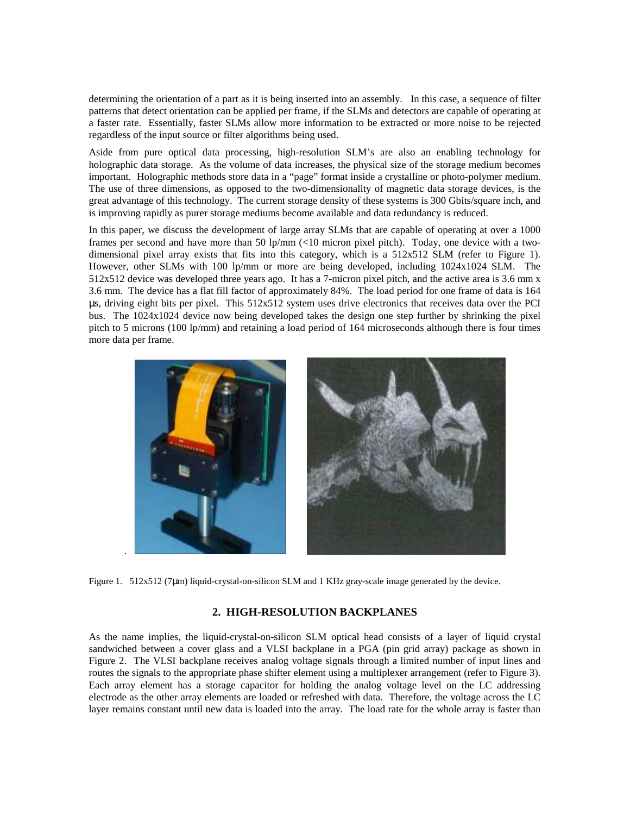determining the orientation of a part as it is being inserted into an assembly. In this case, a sequence of filter patterns that detect orientation can be applied per frame, if the SLMs and detectors are capable of operating at a faster rate. Essentially, faster SLMs allow more information to be extracted or more noise to be rejected regardless of the input source or filter algorithms being used.

Aside from pure optical data processing, high-resolution SLM's are also an enabling technology for holographic data storage. As the volume of data increases, the physical size of the storage medium becomes important. Holographic methods store data in a "page" format inside a crystalline or photo-polymer medium. The use of three dimensions, as opposed to the two-dimensionality of magnetic data storage devices, is the great advantage of this technology. The current storage density of these systems is 300 Gbits/square inch, and is improving rapidly as purer storage mediums become available and data redundancy is reduced.

In this paper, we discuss the development of large array SLMs that are capable of operating at over a 1000 frames per second and have more than 50 lp/mm (<10 micron pixel pitch). Today, one device with a twodimensional pixel array exists that fits into this category, which is a 512x512 SLM (refer to Figure 1). However, other SLMs with 100 lp/mm or more are being developed, including 1024x1024 SLM. The 512x512 device was developed three years ago. It has a 7-micron pixel pitch, and the active area is 3.6 mm x 3.6 mm. The device has a flat fill factor of approximately 84%. The load period for one frame of data is 164 µs, driving eight bits per pixel. This 512x512 system uses drive electronics that receives data over the PCI bus. The 1024x1024 device now being developed takes the design one step further by shrinking the pixel pitch to 5 microns (100 lp/mm) and retaining a load period of 164 microseconds although there is four times more data per frame.



Figure 1. 512x512 (7µm) liquid-crystal-on-silicon SLM and 1 KHz gray-scale image generated by the device.

## **2. HIGH-RESOLUTION BACKPLANES**

As the name implies, the liquid-crystal-on-silicon SLM optical head consists of a layer of liquid crystal sandwiched between a cover glass and a VLSI backplane in a PGA (pin grid array) package as shown in Figure 2. The VLSI backplane receives analog voltage signals through a limited number of input lines and routes the signals to the appropriate phase shifter element using a multiplexer arrangement (refer to Figure 3). Each array element has a storage capacitor for holding the analog voltage level on the LC addressing electrode as the other array elements are loaded or refreshed with data. Therefore, the voltage across the LC layer remains constant until new data is loaded into the array. The load rate for the whole array is faster than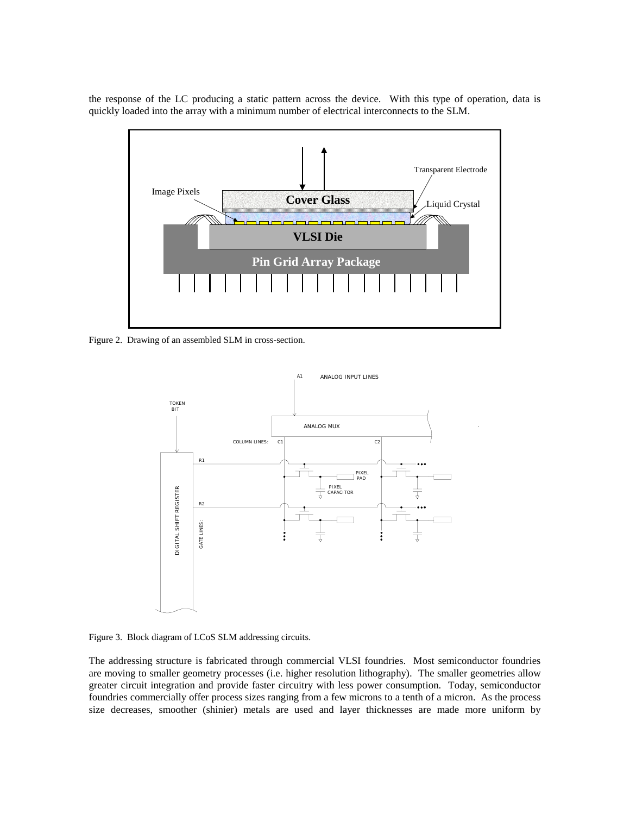the response of the LC producing a static pattern across the device. With this type of operation, data is quickly loaded into the array with a minimum number of electrical interconnects to the SLM.



Figure 2. Drawing of an assembled SLM in cross-section.



Figure 3. Block diagram of LCoS SLM addressing circuits.

The addressing structure is fabricated through commercial VLSI foundries. Most semiconductor foundries are moving to smaller geometry processes (i.e. higher resolution lithography). The smaller geometries allow greater circuit integration and provide faster circuitry with less power consumption. Today, semiconductor foundries commercially offer process sizes ranging from a few microns to a tenth of a micron. As the process size decreases, smoother (shinier) metals are used and layer thicknesses are made more uniform by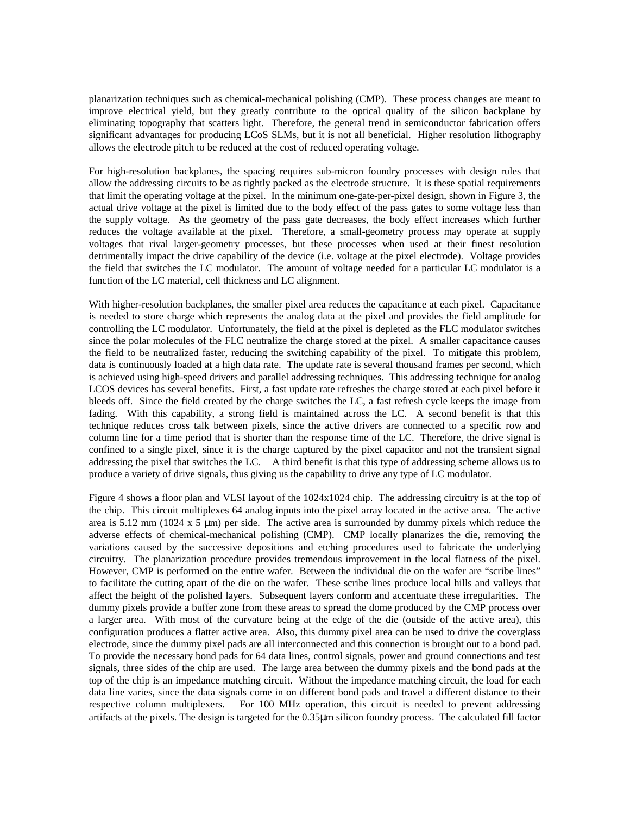planarization techniques such as chemical-mechanical polishing (CMP). These process changes are meant to improve electrical yield, but they greatly contribute to the optical quality of the silicon backplane by eliminating topography that scatters light. Therefore, the general trend in semiconductor fabrication offers significant advantages for producing LCoS SLMs, but it is not all beneficial. Higher resolution lithography allows the electrode pitch to be reduced at the cost of reduced operating voltage.

For high-resolution backplanes, the spacing requires sub-micron foundry processes with design rules that allow the addressing circuits to be as tightly packed as the electrode structure. It is these spatial requirements that limit the operating voltage at the pixel. In the minimum one-gate-per-pixel design, shown in Figure 3, the actual drive voltage at the pixel is limited due to the body effect of the pass gates to some voltage less than the supply voltage. As the geometry of the pass gate decreases, the body effect increases which further reduces the voltage available at the pixel. Therefore, a small-geometry process may operate at supply voltages that rival larger-geometry processes, but these processes when used at their finest resolution detrimentally impact the drive capability of the device (i.e. voltage at the pixel electrode). Voltage provides the field that switches the LC modulator. The amount of voltage needed for a particular LC modulator is a function of the LC material, cell thickness and LC alignment.

With higher-resolution backplanes, the smaller pixel area reduces the capacitance at each pixel. Capacitance is needed to store charge which represents the analog data at the pixel and provides the field amplitude for controlling the LC modulator. Unfortunately, the field at the pixel is depleted as the FLC modulator switches since the polar molecules of the FLC neutralize the charge stored at the pixel. A smaller capacitance causes the field to be neutralized faster, reducing the switching capability of the pixel. To mitigate this problem, data is continuously loaded at a high data rate. The update rate is several thousand frames per second, which is achieved using high-speed drivers and parallel addressing techniques. This addressing technique for analog LCOS devices has several benefits. First, a fast update rate refreshes the charge stored at each pixel before it bleeds off. Since the field created by the charge switches the LC, a fast refresh cycle keeps the image from fading. With this capability, a strong field is maintained across the LC. A second benefit is that this technique reduces cross talk between pixels, since the active drivers are connected to a specific row and column line for a time period that is shorter than the response time of the LC. Therefore, the drive signal is confined to a single pixel, since it is the charge captured by the pixel capacitor and not the transient signal addressing the pixel that switches the LC. A third benefit is that this type of addressing scheme allows us to produce a variety of drive signals, thus giving us the capability to drive any type of LC modulator.

Figure 4 shows a floor plan and VLSI layout of the 1024x1024 chip. The addressing circuitry is at the top of the chip. This circuit multiplexes 64 analog inputs into the pixel array located in the active area. The active area is 5.12 mm (1024 x 5  $\mu$ m) per side. The active area is surrounded by dummy pixels which reduce the adverse effects of chemical-mechanical polishing (CMP). CMP locally planarizes the die, removing the variations caused by the successive depositions and etching procedures used to fabricate the underlying circuitry. The planarization procedure provides tremendous improvement in the local flatness of the pixel. However, CMP is performed on the entire wafer. Between the individual die on the wafer are "scribe lines" to facilitate the cutting apart of the die on the wafer. These scribe lines produce local hills and valleys that affect the height of the polished layers. Subsequent layers conform and accentuate these irregularities. The dummy pixels provide a buffer zone from these areas to spread the dome produced by the CMP process over a larger area. With most of the curvature being at the edge of the die (outside of the active area), this configuration produces a flatter active area. Also, this dummy pixel area can be used to drive the coverglass electrode, since the dummy pixel pads are all interconnected and this connection is brought out to a bond pad. To provide the necessary bond pads for 64 data lines, control signals, power and ground connections and test signals, three sides of the chip are used. The large area between the dummy pixels and the bond pads at the top of the chip is an impedance matching circuit. Without the impedance matching circuit, the load for each data line varies, since the data signals come in on different bond pads and travel a different distance to their respective column multiplexers. For 100 MHz operation, this circuit is needed to prevent addressing artifacts at the pixels. The design is targeted for the 0.35µm silicon foundry process. The calculated fill factor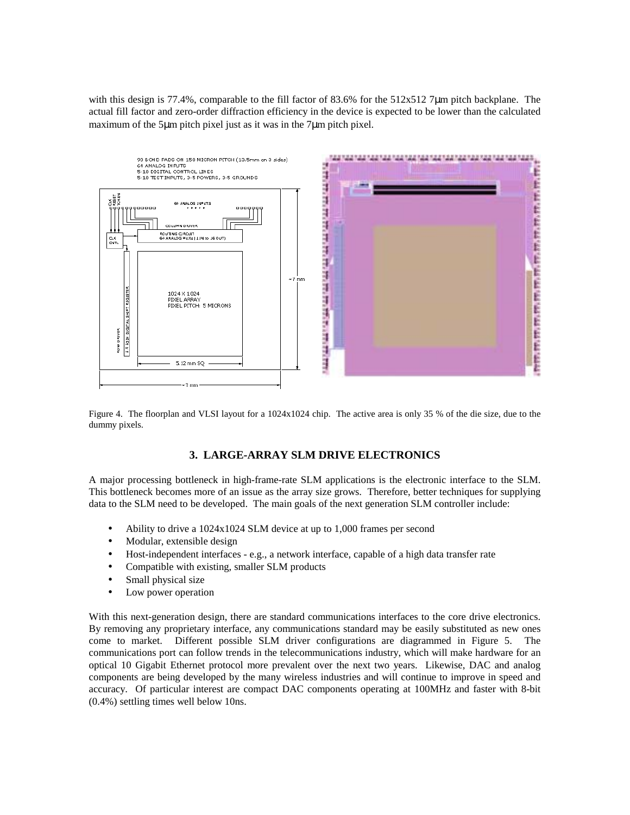with this design is 77.4%, comparable to the fill factor of 83.6% for the 512x512 7 $\mu$ m pitch backplane. The actual fill factor and zero-order diffraction efficiency in the device is expected to be lower than the calculated maximum of the 5µm pitch pixel just as it was in the 7µm pitch pixel.



Figure 4. The floorplan and VLSI layout for a 1024x1024 chip. The active area is only 35 % of the die size, due to the dummy pixels.

# **3. LARGE-ARRAY SLM DRIVE ELECTRONICS**

A major processing bottleneck in high-frame-rate SLM applications is the electronic interface to the SLM. This bottleneck becomes more of an issue as the array size grows. Therefore, better techniques for supplying data to the SLM need to be developed. The main goals of the next generation SLM controller include:

- Ability to drive a 1024x1024 SLM device at up to 1,000 frames per second
- Modular, extensible design
- Host-independent interfaces e.g., a network interface, capable of a high data transfer rate
- Compatible with existing, smaller SLM products
- Small physical size
- Low power operation

With this next-generation design, there are standard communications interfaces to the core drive electronics. By removing any proprietary interface, any communications standard may be easily substituted as new ones come to market. Different possible SLM driver configurations are diagrammed in Figure 5. The communications port can follow trends in the telecommunications industry, which will make hardware for an optical 10 Gigabit Ethernet protocol more prevalent over the next two years. Likewise, DAC and analog components are being developed by the many wireless industries and will continue to improve in speed and accuracy. Of particular interest are compact DAC components operating at 100MHz and faster with 8-bit (0.4%) settling times well below 10ns.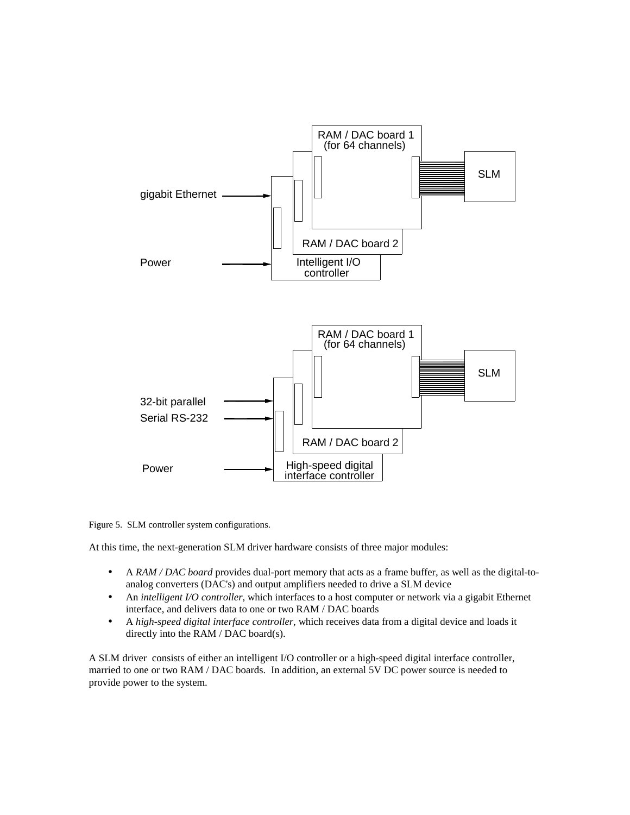

Figure 5. SLM controller system configurations.

At this time, the next-generation SLM driver hardware consists of three major modules:

- A *RAM / DAC board* provides dual-port memory that acts as a frame buffer, as well as the digital-toanalog converters (DAC's) and output amplifiers needed to drive a SLM device
- An *intelligent I/O controller*, which interfaces to a host computer or network via a gigabit Ethernet interface, and delivers data to one or two RAM / DAC boards
- A *high-speed digital interface controller*, which receives data from a digital device and loads it directly into the RAM / DAC board(s).

A SLM driver consists of either an intelligent I/O controller or a high-speed digital interface controller, married to one or two RAM / DAC boards. In addition, an external 5V DC power source is needed to provide power to the system.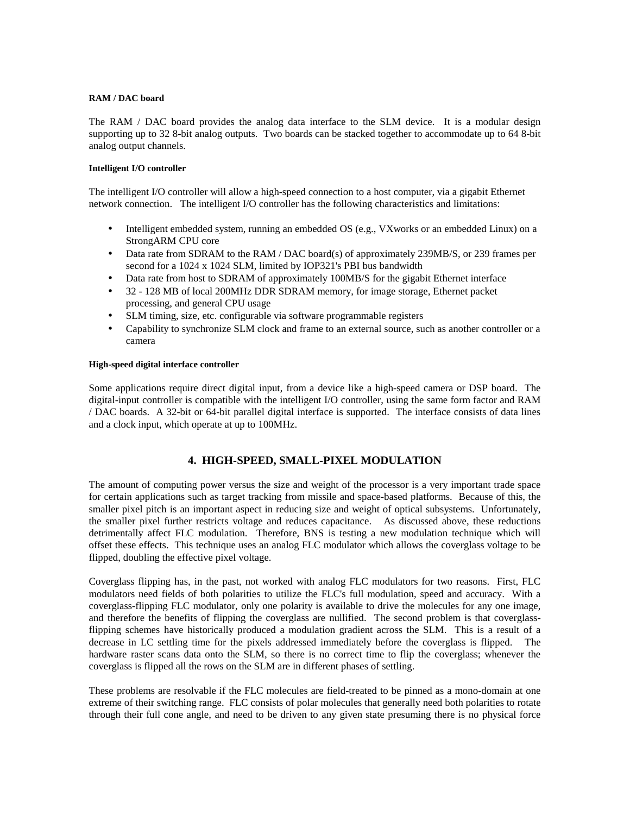#### **RAM / DAC board**

The RAM / DAC board provides the analog data interface to the SLM device. It is a modular design supporting up to 32 8-bit analog outputs. Two boards can be stacked together to accommodate up to 64 8-bit analog output channels.

#### **Intelligent I/O controller**

The intelligent I/O controller will allow a high-speed connection to a host computer, via a gigabit Ethernet network connection. The intelligent I/O controller has the following characteristics and limitations:

- Intelligent embedded system, running an embedded OS (e.g., VXworks or an embedded Linux) on a StrongARM CPU core
- Data rate from SDRAM to the RAM / DAC board(s) of approximately 239MB/S, or 239 frames per second for a 1024 x 1024 SLM, limited by IOP321's PBI bus bandwidth
- Data rate from host to SDRAM of approximately 100MB/S for the gigabit Ethernet interface
- 32 128 MB of local 200MHz DDR SDRAM memory, for image storage, Ethernet packet processing, and general CPU usage
- SLM timing, size, etc. configurable via software programmable registers
- Capability to synchronize SLM clock and frame to an external source, such as another controller or a camera

#### **High-speed digital interface controller**

Some applications require direct digital input, from a device like a high-speed camera or DSP board. The digital-input controller is compatible with the intelligent I/O controller, using the same form factor and RAM / DAC boards. A 32-bit or 64-bit parallel digital interface is supported. The interface consists of data lines and a clock input, which operate at up to 100MHz.

## **4. HIGH-SPEED, SMALL-PIXEL MODULATION**

The amount of computing power versus the size and weight of the processor is a very important trade space for certain applications such as target tracking from missile and space-based platforms. Because of this, the smaller pixel pitch is an important aspect in reducing size and weight of optical subsystems. Unfortunately, the smaller pixel further restricts voltage and reduces capacitance. As discussed above, these reductions detrimentally affect FLC modulation. Therefore, BNS is testing a new modulation technique which will offset these effects. This technique uses an analog FLC modulator which allows the coverglass voltage to be flipped, doubling the effective pixel voltage.

Coverglass flipping has, in the past, not worked with analog FLC modulators for two reasons. First, FLC modulators need fields of both polarities to utilize the FLC's full modulation, speed and accuracy. With a coverglass-flipping FLC modulator, only one polarity is available to drive the molecules for any one image, and therefore the benefits of flipping the coverglass are nullified. The second problem is that coverglassflipping schemes have historically produced a modulation gradient across the SLM. This is a result of a decrease in LC settling time for the pixels addressed immediately before the coverglass is flipped. The hardware raster scans data onto the SLM, so there is no correct time to flip the coverglass; whenever the coverglass is flipped all the rows on the SLM are in different phases of settling.

These problems are resolvable if the FLC molecules are field-treated to be pinned as a mono-domain at one extreme of their switching range. FLC consists of polar molecules that generally need both polarities to rotate through their full cone angle, and need to be driven to any given state presuming there is no physical force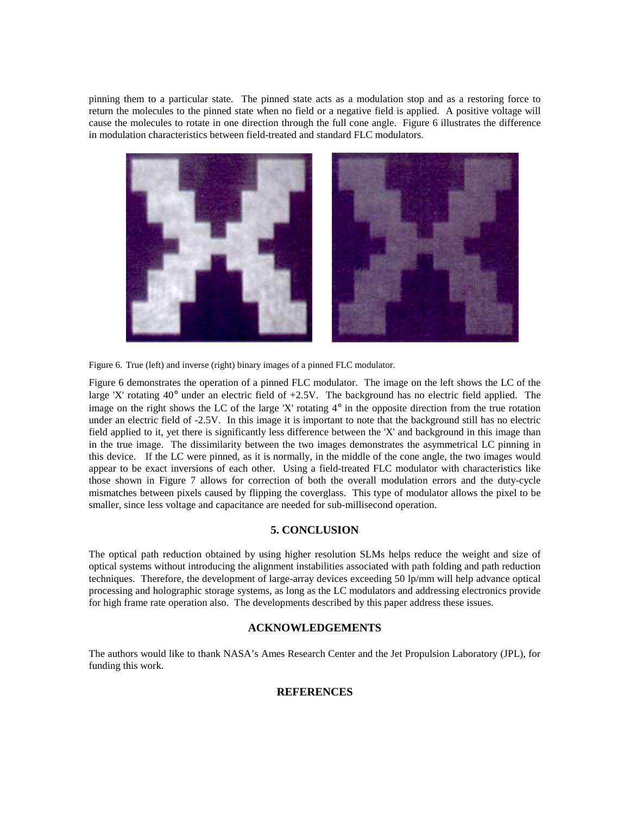pinning them to a particular state. The pinned state acts as a modulation stop and as a restoring force to return the molecules to the pinned state when no field or a negative field is applied. A positive voltage will cause the molecules to rotate in one direction through the full cone angle. Figure 6 illustrates the difference in modulation characteristics between field-treated and standard FLC modulators.



Figure 6. True (left) and inverse (right) binary images of a pinned FLC modulator.

Figure 6 demonstrates the operation of a pinned FLC modulator. The image on the left shows the LC of the large 'X' rotating 40° under an electric field of +2.5V. The background has no electric field applied. The image on the right shows the LC of the large 'X' rotating  $4^\circ$  in the opposite direction from the true rotation under an electric field of -2.5V. In this image it is important to note that the background still has no electric field applied to it, yet there is significantly less difference between the 'X' and background in this image than in the true image. The dissimilarity between the two images demonstrates the asymmetrical LC pinning in this device. If the LC were pinned, as it is normally, in the middle of the cone angle, the two images would appear to be exact inversions of each other. Using a field-treated FLC modulator with characteristics like those shown in Figure 7 allows for correction of both the overall modulation errors and the duty-cycle mismatches between pixels caused by flipping the coverglass. This type of modulator allows the pixel to be smaller, since less voltage and capacitance are needed for sub-millisecond operation.

## **5. CONCLUSION**

The optical path reduction obtained by using higher resolution SLMs helps reduce the weight and size of optical systems without introducing the alignment instabilities associated with path folding and path reduction techniques. Therefore, the development of large-array devices exceeding 50 lp/mm will help advance optical processing and holographic storage systems, as long as the LC modulators and addressing electronics provide for high frame rate operation also. The developments described by this paper address these issues.

## **ACKNOWLEDGEMENTS**

The authors would like to thank NASA's Ames Research Center and the Jet Propulsion Laboratory (JPL), for funding this work.

# **REFERENCES**